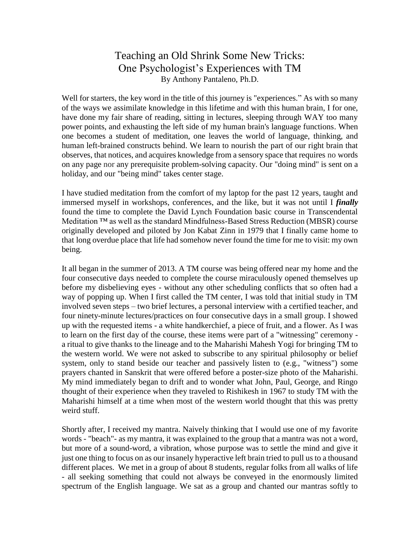## Teaching an Old Shrink Some New Tricks: One Psychologist's Experiences with TM By Anthony Pantaleno, Ph.D.

Well for starters, the key word in the title of this journey is "experiences." As with so many of the ways we assimilate knowledge in this lifetime and with this human brain, I for one, have done my fair share of reading, sitting in lectures, sleeping through WAY too many power points, and exhausting the left side of my human brain's language functions. When one becomes a student of meditation, one leaves the world of language, thinking, and human left-brained constructs behind. We learn to nourish the part of our right brain that observes, that notices, and acquires knowledge from a sensory space that requires no words on any page nor any prerequisite problem-solving capacity. Our "doing mind" is sent on a holiday, and our "being mind" takes center stage.

I have studied meditation from the comfort of my laptop for the past 12 years, taught and immersed myself in workshops, conferences, and the like, but it was not until I *finally* found the time to complete the David Lynch Foundation basic course in Transcendental Meditation ™ as well as the standard Mindfulness-Based Stress Reduction (MBSR) course originally developed and piloted by Jon Kabat Zinn in 1979 that I finally came home to that long overdue place that life had somehow never found the time for me to visit: my own being.

It all began in the summer of 2013. A TM course was being offered near my home and the four consecutive days needed to complete the course miraculously opened themselves up before my disbelieving eyes - without any other scheduling conflicts that so often had a way of popping up. When I first called the TM center, I was told that initial study in TM involved seven steps – two brief lectures, a personal interview with a certified teacher, and four ninety-minute lectures/practices on four consecutive days in a small group. I showed up with the requested items - a white handkerchief, a piece of fruit, and a flower. As I was to learn on the first day of the course, these items were part of a "witnessing" ceremony a ritual to give thanks to the lineage and to the Maharishi Mahesh Yogi for bringing TM to the western world. We were not asked to subscribe to any spiritual philosophy or belief system, only to stand beside our teacher and passively listen to (e.g., "witness") some prayers chanted in Sanskrit that were offered before a poster-size photo of the Maharishi. My mind immediately began to drift and to wonder what John, Paul, George, and Ringo thought of their experience when they traveled to Rishikesh in 1967 to study TM with the Maharishi himself at a time when most of the western world thought that this was pretty weird stuff.

Shortly after, I received my mantra. Naively thinking that I would use one of my favorite words - "beach"- as my mantra, it was explained to the group that a mantra was not a word, but more of a sound-word, a vibration, whose purpose was to settle the mind and give it just one thing to focus on as our insanely hyperactive left brain tried to pull us to a thousand different places. We met in a group of about 8 students, regular folks from all walks of life - all seeking something that could not always be conveyed in the enormously limited spectrum of the English language. We sat as a group and chanted our mantras softly to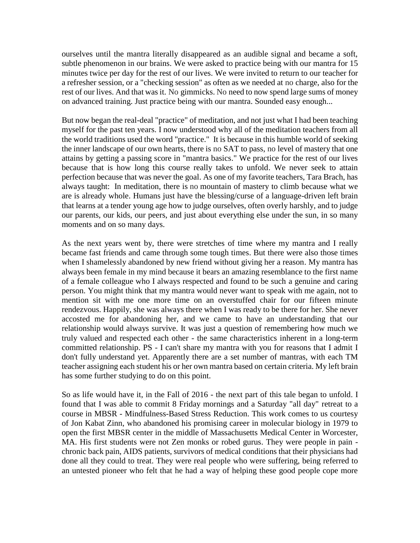ourselves until the mantra literally disappeared as an audible signal and became a soft, subtle phenomenon in our brains. We were asked to practice being with our mantra for 15 minutes twice per day for the rest of our lives. We were invited to return to our teacher for a refresher session, or a "checking session" as often as we needed at no charge, also for the rest of our lives. And that was it. No gimmicks. No need to now spend large sums of money on advanced training. Just practice being with our mantra. Sounded easy enough...

But now began the real-deal "practice" of meditation, and not just what I had been teaching myself for the past ten years. I now understood why all of the meditation teachers from all the world traditions used the word "practice." It is because in this humble world of seeking the inner landscape of our own hearts, there is no SAT to pass, no level of mastery that one attains by getting a passing score in "mantra basics." We practice for the rest of our lives because that is how long this course really takes to unfold. We never seek to attain perfection because that was never the goal. As one of my favorite teachers, Tara Brach, has always taught: In meditation, there is no mountain of mastery to climb because what we are is already whole. Humans just have the blessing/curse of a language-driven left brain that learns at a tender young age how to judge ourselves, often overly harshly, and to judge our parents, our kids, our peers, and just about everything else under the sun, in so many moments and on so many days.

As the next years went by, there were stretches of time where my mantra and I really became fast friends and came through some tough times. But there were also those times when I shamelessly abandoned by new friend without giving her a reason. My mantra has always been female in my mind because it bears an amazing resemblance to the first name of a female colleague who I always respected and found to be such a genuine and caring person. You might think that my mantra would never want to speak with me again, not to mention sit with me one more time on an overstuffed chair for our fifteen minute rendezvous. Happily, she was always there when I was ready to be there for her. She never accosted me for abandoning her, and we came to have an understanding that our relationship would always survive. It was just a question of remembering how much we truly valued and respected each other - the same characteristics inherent in a long-term committed relationship. PS - I can't share my mantra with you for reasons that I admit I don't fully understand yet. Apparently there are a set number of mantras, with each TM teacher assigning each student his or her own mantra based on certain criteria. My left brain has some further studying to do on this point.

So as life would have it, in the Fall of 2016 - the next part of this tale began to unfold. I found that I was able to commit 8 Friday mornings and a Saturday "all day" retreat to a course in MBSR - Mindfulness-Based Stress Reduction. This work comes to us courtesy of Jon Kabat Zinn, who abandoned his promising career in molecular biology in 1979 to open the first MBSR center in the middle of Massachusetts Medical Center in Worcester, MA. His first students were not Zen monks or robed gurus. They were people in pain chronic back pain, AIDS patients, survivors of medical conditions that their physicians had done all they could to treat. They were real people who were suffering, being referred to an untested pioneer who felt that he had a way of helping these good people cope more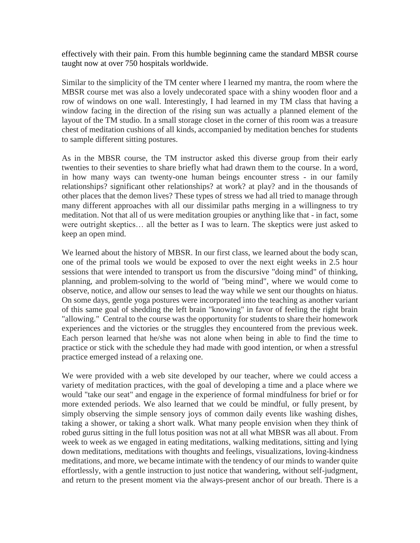effectively with their pain. From this humble beginning came the standard MBSR course taught now at over 750 hospitals worldwide.

Similar to the simplicity of the TM center where I learned my mantra, the room where the MBSR course met was also a lovely undecorated space with a shiny wooden floor and a row of windows on one wall. Interestingly, I had learned in my TM class that having a window facing in the direction of the rising sun was actually a planned element of the layout of the TM studio. In a small storage closet in the corner of this room was a treasure chest of meditation cushions of all kinds, accompanied by meditation benches for students to sample different sitting postures.

As in the MBSR course, the TM instructor asked this diverse group from their early twenties to their seventies to share briefly what had drawn them to the course. In a word, in how many ways can twenty-one human beings encounter stress - in our family relationships? significant other relationships? at work? at play? and in the thousands of other places that the demon lives? These types of stress we had all tried to manage through many different approaches with all our dissimilar paths merging in a willingness to try meditation. Not that all of us were meditation groupies or anything like that - in fact, some were outright skeptics… all the better as I was to learn. The skeptics were just asked to keep an open mind.

We learned about the history of MBSR. In our first class, we learned about the body scan, one of the primal tools we would be exposed to over the next eight weeks in 2.5 hour sessions that were intended to transport us from the discursive "doing mind" of thinking, planning, and problem-solving to the world of "being mind", where we would come to observe, notice, and allow our senses to lead the way while we sent our thoughts on hiatus. On some days, gentle yoga postures were incorporated into the teaching as another variant of this same goal of shedding the left brain "knowing" in favor of feeling the right brain "allowing." Central to the course was the opportunity for students to share their homework experiences and the victories or the struggles they encountered from the previous week. Each person learned that he/she was not alone when being in able to find the time to practice or stick with the schedule they had made with good intention, or when a stressful practice emerged instead of a relaxing one.

We were provided with a web site developed by our teacher, where we could access a variety of meditation practices, with the goal of developing a time and a place where we would "take our seat" and engage in the experience of formal mindfulness for brief or for more extended periods. We also learned that we could be mindful, or fully present, by simply observing the simple sensory joys of common daily events like washing dishes, taking a shower, or taking a short walk. What many people envision when they think of robed gurus sitting in the full lotus position was not at all what MBSR was all about. From week to week as we engaged in eating meditations, walking meditations, sitting and lying down meditations, meditations with thoughts and feelings, visualizations, loving-kindness meditations, and more, we became intimate with the tendency of our minds to wander quite effortlessly, with a gentle instruction to just notice that wandering, without self-judgment, and return to the present moment via the always-present anchor of our breath. There is a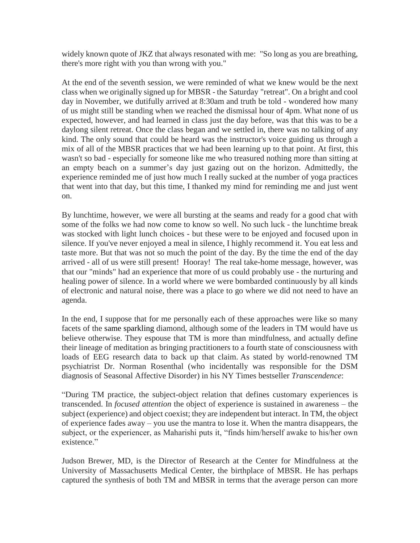widely known quote of JKZ that always resonated with me: "So long as you are breathing, there's more right with you than wrong with you."

At the end of the seventh session, we were reminded of what we knew would be the next class when we originally signed up for MBSR - the Saturday "retreat". On a bright and cool day in November, we dutifully arrived at 8:30am and truth be told - wondered how many of us might still be standing when we reached the dismissal hour of 4pm. What none of us expected, however, and had learned in class just the day before, was that this was to be a daylong silent retreat. Once the class began and we settled in, there was no talking of any kind. The only sound that could be heard was the instructor's voice guiding us through a mix of all of the MBSR practices that we had been learning up to that point. At first, this wasn't so bad - especially for someone like me who treasured nothing more than sitting at an empty beach on a summer's day just gazing out on the horizon. Admittedly, the experience reminded me of just how much I really sucked at the number of yoga practices that went into that day, but this time, I thanked my mind for reminding me and just went on.

By lunchtime, however, we were all bursting at the seams and ready for a good chat with some of the folks we had now come to know so well. No such luck - the lunchtime break was stocked with light lunch choices - but these were to be enjoyed and focused upon in silence. If you've never enjoyed a meal in silence, I highly recommend it. You eat less and taste more. But that was not so much the point of the day. By the time the end of the day arrived - all of us were still present! Hooray! The real take-home message, however, was that our "minds" had an experience that more of us could probably use - the nurturing and healing power of silence. In a world where we were bombarded continuously by all kinds of electronic and natural noise, there was a place to go where we did not need to have an agenda.

In the end, I suppose that for me personally each of these approaches were like so many facets of the same sparkling diamond, although some of the leaders in TM would have us believe otherwise. They espouse that TM is more than mindfulness, and actually define their lineage of meditation as bringing practitioners to a fourth state of consciousness with loads of EEG research data to back up that claim. As stated by world-renowned TM psychiatrist Dr. Norman Rosenthal (who incidentally was responsible for the DSM diagnosis of Seasonal Affective Disorder) in his NY Times bestseller *Transcendence*:

"During TM practice, the subject-object relation that defines customary experiences is transcended. In *focused attention* the object of experience is sustained in awareness – the subject (experience) and object coexist; they are independent but interact. In TM, the object of experience fades away – you use the mantra to lose it. When the mantra disappears, the subject, or the experiencer, as Maharishi puts it, "finds him/herself awake to his/her own existence."

Judson Brewer, MD, is the Director of Research at the Center for Mindfulness at the University of Massachusetts Medical Center, the birthplace of MBSR. He has perhaps captured the synthesis of both TM and MBSR in terms that the average person can more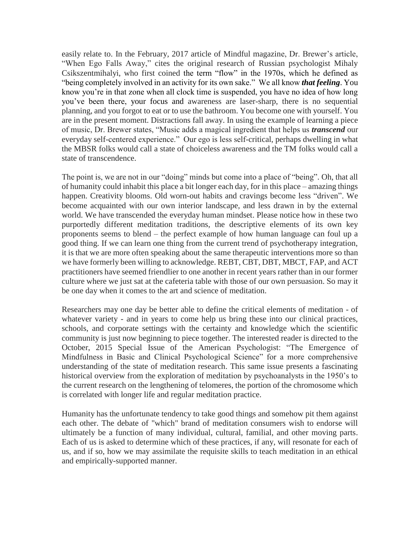easily relate to. In the February, 2017 article of Mindful magazine, Dr. Brewer's article, "When Ego Falls Away," cites the original research of Russian psychologist Mihaly Csikszentmihalyi, who first coined the term "flow" in the 1970s, which he defined as "being completely involved in an activity for its own sake." We all know *that feeling*. You know you're in that zone when all clock time is suspended, you have no idea of how long you've been there, your focus and awareness are laser-sharp, there is no sequential planning, and you forgot to eat or to use the bathroom. You become one with yourself. You are in the present moment. Distractions fall away. In using the example of learning a piece of music, Dr. Brewer states, "Music adds a magical ingredient that helps us *transcend* our everyday self-centered experience." Our ego is less self-critical, perhaps dwelling in what the MBSR folks would call a state of choiceless awareness and the TM folks would call a state of transcendence.

The point is, we are not in our "doing" minds but come into a place of "being". Oh, that all of humanity could inhabit this place a bit longer each day, for in this place – amazing things happen. Creativity blooms. Old worn-out habits and cravings become less "driven". We become acquainted with our own interior landscape, and less drawn in by the external world. We have transcended the everyday human mindset. Please notice how in these two purportedly different meditation traditions, the descriptive elements of its own key proponents seems to blend – the perfect example of how human language can foul up a good thing. If we can learn one thing from the current trend of psychotherapy integration, it is that we are more often speaking about the same therapeutic interventions more so than we have formerly been willing to acknowledge. REBT, CBT, DBT, MBCT, FAP, and ACT practitioners have seemed friendlier to one another in recent years rather than in our former culture where we just sat at the cafeteria table with those of our own persuasion. So may it be one day when it comes to the art and science of meditation.

Researchers may one day be better able to define the critical elements of meditation - of whatever variety - and in years to come help us bring these into our clinical practices, schools, and corporate settings with the certainty and knowledge which the scientific community is just now beginning to piece together. The interested reader is directed to the October, 2015 Special Issue of the American Psychologist: "The Emergence of Mindfulness in Basic and Clinical Psychological Science" for a more comprehensive understanding of the state of meditation research. This same issue presents a fascinating historical overview from the exploration of meditation by psychoanalysts in the 1950's to the current research on the lengthening of telomeres, the portion of the chromosome which is correlated with longer life and regular meditation practice.

Humanity has the unfortunate tendency to take good things and somehow pit them against each other. The debate of "which" brand of meditation consumers wish to endorse will ultimately be a function of many individual, cultural, familial, and other moving parts. Each of us is asked to determine which of these practices, if any, will resonate for each of us, and if so, how we may assimilate the requisite skills to teach meditation in an ethical and empirically-supported manner.